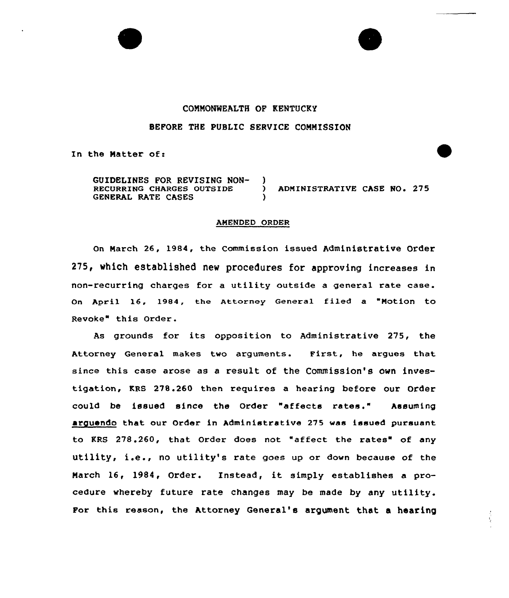## COMMONWEALTH OF KENTUCKY

## BEFORE THE PUBLIC SERVICE COMMISSION

In the Matter of:

GUIDELINES FOR REVISING NON- )<br>RECURRING CHARGES OUTSIDE ) ADMINISTRATIVE CASE NO. 275 GENERAL RATE CASES

## AMENDED ORDER

On March 26, 1984, the Commission issued Administrative Order 275, which established new procedures for approving increases in non-recurring charges for a utility outside a genera1 rate case. On April 16, 1984, the Attorney General filed a "Motion to Revoke" this Order.

As grounds for its opposition to Administrative 275, the Attorney General makes two arguments. First, he argues that since this case arose as a result of the commission's own investigation, KRS 278.260 then requires a hearing before our Order could be issued since the Order "affects rates." Assuming arguendo that our Order in Administrative 275 was issued pursuant to KRS 278.260, that Order does not "affect the rates" of any utility, i.e., no utility's rate goes up or down because of the March 16, 1984, Order. Instead, it simply establishes <sup>a</sup> procedure whereby future rate changes may be made by any utility. For this reason, the Attorney General's argument that a hearing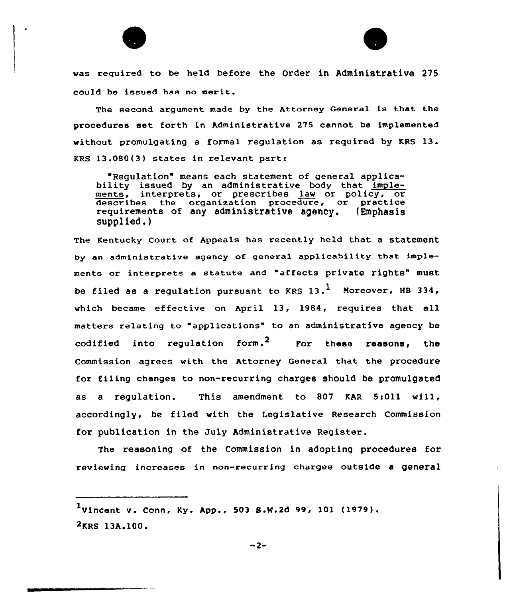



was required to be held before the Order in Administrative 275 could be issued has no merit.

The second argument made by the Attorney General is that the procedures set forth in Administrative 275 cannot be implemented without promulgating <sup>a</sup> formal regulation as required by KRS 13. KRS 13.0BO(3) states in relevant part:

"Regulation means each statement of general applicability issued by an administrative body that implements, interprets, or prescribes law or policy, or describes the organization procedure, or practice requirements of any administrative agency. (Emphasi supplied.)

The Kentucky Court of Appeals has recently held that a statement by an administrative agency of general applicability that implements ox intexpxets <sup>a</sup> statute and "affects private rights" must be filed as a regulation pursuant to KRS  $13.$ <sup>1</sup> Moreover, HB 334, which became effective on April 13, 1984, requires that all matters relating to "applications" to an administrative agency be  $\text{codified}$  into regulation form.<sup>2</sup> For these reasons, the Commission agrees with the Attorney General that the procedure for filing changes to non-recurring charges should be promulgated as a regulation. This amendment to 807 KAR 5:011 will. accordingly, be filed with the Legislative Research Commission for publication in the July Administrative Register.

The reasoning of the Commission in adopting procedures for reviewing increases in non-recurring charges outside a general

 $1$ Vincent v. Conn, Ky. App., 503 S.W.2d 99, 101 (1979).  $2$ KRS 13A.100.